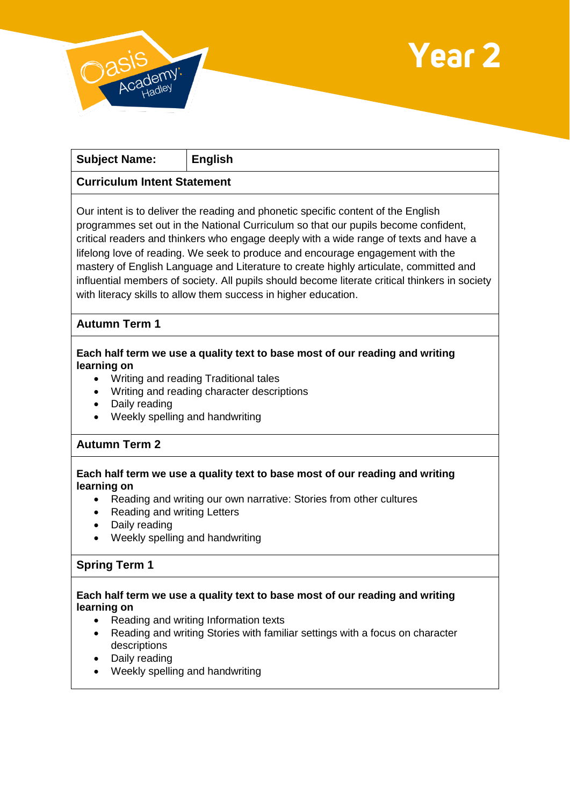



| <b>Subject Name:</b>                                                                                                                                                                                                                                                                                                                                                                                                                                                                                                                                                                                             | <b>English</b> |
|------------------------------------------------------------------------------------------------------------------------------------------------------------------------------------------------------------------------------------------------------------------------------------------------------------------------------------------------------------------------------------------------------------------------------------------------------------------------------------------------------------------------------------------------------------------------------------------------------------------|----------------|
| <b>Curriculum Intent Statement</b>                                                                                                                                                                                                                                                                                                                                                                                                                                                                                                                                                                               |                |
| Our intent is to deliver the reading and phonetic specific content of the English<br>programmes set out in the National Curriculum so that our pupils become confident,<br>critical readers and thinkers who engage deeply with a wide range of texts and have a<br>lifelong love of reading. We seek to produce and encourage engagement with the<br>mastery of English Language and Literature to create highly articulate, committed and<br>influential members of society. All pupils should become literate critical thinkers in society<br>with literacy skills to allow them success in higher education. |                |

# **Autumn Term 1**

### **Each half term we use a quality text to base most of our reading and writing learning on**

- Writing and reading Traditional tales
- Writing and reading character descriptions
- Daily reading
- Weekly spelling and handwriting

## **Autumn Term 2**

### **Each half term we use a quality text to base most of our reading and writing learning on**

- Reading and writing our own narrative: Stories from other cultures
- Reading and writing Letters
- Daily reading
- Weekly spelling and handwriting

## **Spring Term 1**

### **Each half term we use a quality text to base most of our reading and writing learning on**

- Reading and writing Information texts
- Reading and writing Stories with familiar settings with a focus on character descriptions
- Daily reading
- Weekly spelling and handwriting